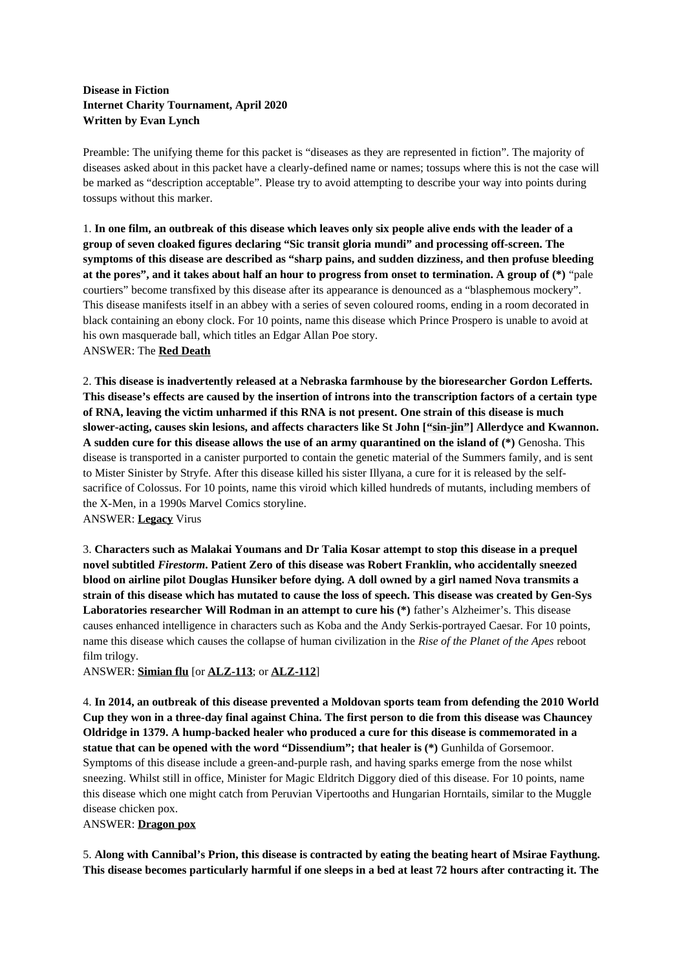## **Disease in Fiction Internet Charity Tournament, April 2020 Written by Evan Lynch**

Preamble: The unifying theme for this packet is "diseases as they are represented in fiction". The majority of diseases asked about in this packet have a clearly-defined name or names; tossups where this is not the case will be marked as "description acceptable". Please try to avoid attempting to describe your way into points during tossups without this marker.

1. **In one film, an outbreak of this disease which leaves only six people alive ends with the leader of a group of seven cloaked figures declaring "Sic transit gloria mundi" and processing off-screen. The symptoms of this disease are described as "sharp pains, and sudden dizziness, and then profuse bleeding at the pores", and it takes about half an hour to progress from onset to termination. A group of (\*)** "pale courtiers" become transfixed by this disease after its appearance is denounced as a "blasphemous mockery". This disease manifests itself in an abbey with a series of seven coloured rooms, ending in a room decorated in black containing an ebony clock. For 10 points, name this disease which Prince Prospero is unable to avoid at his own masquerade ball, which titles an Edgar Allan Poe story. ANSWER: The **Red Death**

2. **This disease is inadvertently released at a Nebraska farmhouse by the bioresearcher Gordon Lefferts. This disease's effects are caused by the insertion of introns into the transcription factors of a certain type of RNA, leaving the victim unharmed if this RNA is not present. One strain of this disease is much slower-acting, causes skin lesions, and affects characters like St John ["sin-jin"] Allerdyce and Kwannon. A sudden cure for this disease allows the use of an army quarantined on the island of (\*)** Genosha. This disease is transported in a canister purported to contain the genetic material of the Summers family, and is sent to Mister Sinister by Stryfe. After this disease killed his sister Illyana, a cure for it is released by the selfsacrifice of Colossus. For 10 points, name this viroid which killed hundreds of mutants, including members of the X-Men, in a 1990s Marvel Comics storyline. ANSWER: **Legacy** Virus

3. **Characters such as Malakai Youmans and Dr Talia Kosar attempt to stop this disease in a prequel novel subtitled** *Firestorm***. Patient Zero of this disease was Robert Franklin, who accidentally sneezed blood on airline pilot Douglas Hunsiker before dying. A doll owned by a girl named Nova transmits a strain of this disease which has mutated to cause the loss of speech. This disease was created by Gen-Sys Laboratories researcher Will Rodman in an attempt to cure his (\*)** father's Alzheimer's. This disease causes enhanced intelligence in characters such as Koba and the Andy Serkis-portrayed Caesar. For 10 points, name this disease which causes the collapse of human civilization in the *Rise of the Planet of the Apes* reboot film trilogy.

ANSWER: **Simian flu** [or **ALZ-113**; or **ALZ-112**]

4. **In 2014, an outbreak of this disease prevented a Moldovan sports team from defending the 2010 World Cup they won in a three-day final against China. The first person to die from this disease was Chauncey Oldridge in 1379. A hump-backed healer who produced a cure for this disease is commemorated in a statue that can be opened with the word "Dissendium"; that healer is (\*)** Gunhilda of Gorsemoor. Symptoms of this disease include a green-and-purple rash, and having sparks emerge from the nose whilst sneezing. Whilst still in office, Minister for Magic Eldritch Diggory died of this disease. For 10 points, name this disease which one might catch from Peruvian Vipertooths and Hungarian Horntails, similar to the Muggle disease chicken pox.

## ANSWER: **Dragon pox**

5. **Along with Cannibal's Prion, this disease is contracted by eating the beating heart of Msirae Faythung. This disease becomes particularly harmful if one sleeps in a bed at least 72 hours after contracting it. The**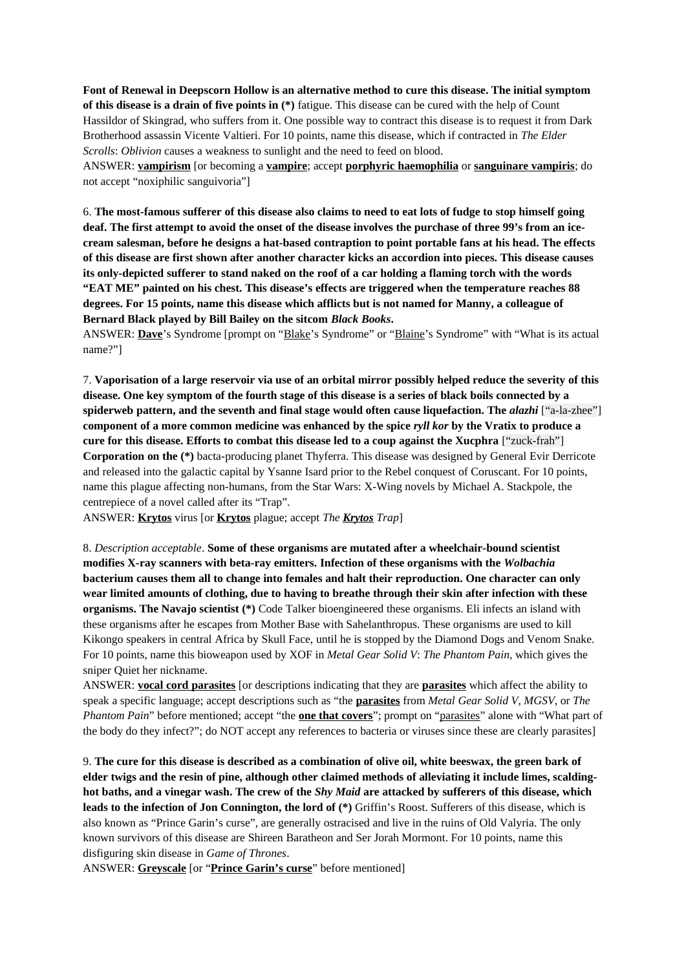**Font of Renewal in Deepscorn Hollow is an alternative method to cure this disease. The initial symptom of this disease is a drain of five points in (\*)** fatigue. This disease can be cured with the help of Count Hassildor of Skingrad, who suffers from it. One possible way to contract this disease is to request it from Dark Brotherhood assassin Vicente Valtieri. For 10 points, name this disease, which if contracted in *The Elder Scrolls*: *Oblivion* causes a weakness to sunlight and the need to feed on blood.

ANSWER: **vampirism** [or becoming a **vampire**; accept **porphyric haemophilia** or **sanguinare vampiris**; do not accept "noxiphilic sanguivoria"]

6. **The most-famous sufferer of this disease also claims to need to eat lots of fudge to stop himself going deaf. The first attempt to avoid the onset of the disease involves the purchase of three 99's from an icecream salesman, before he designs a hat-based contraption to point portable fans at his head. The effects of this disease are first shown after another character kicks an accordion into pieces. This disease causes its only-depicted sufferer to stand naked on the roof of a car holding a flaming torch with the words "EAT ME" painted on his chest. This disease's effects are triggered when the temperature reaches 88 degrees. For 15 points, name this disease which afflicts but is not named for Manny, a colleague of Bernard Black played by Bill Bailey on the sitcom** *Black Books***.** 

ANSWER: **Dave**'s Syndrome [prompt on "Blake's Syndrome" or "Blaine's Syndrome" with "What is its actual name?"]

7. **Vaporisation of a large reservoir via use of an orbital mirror possibly helped reduce the severity of this disease. One key symptom of the fourth stage of this disease is a series of black boils connected by a spiderweb pattern, and the seventh and final stage would often cause liquefaction. The** *alazhi* ["a-la-zhee"] **component of a more common medicine was enhanced by the spice** *ryll kor* **by the Vratix to produce a cure for this disease. Efforts to combat this disease led to a coup against the Xucphra** ["zuck-frah"] **Corporation on the (\*)** bacta-producing planet Thyferra. This disease was designed by General Evir Derricote and released into the galactic capital by Ysanne Isard prior to the Rebel conquest of Coruscant. For 10 points, name this plague affecting non-humans, from the Star Wars: X-Wing novels by Michael A. Stackpole, the centrepiece of a novel called after its "Trap".

ANSWER: **Krytos** virus [or **Krytos** plague; accept *The Krytos Trap*]

8. *Description acceptable*. **Some of these organisms are mutated after a wheelchair-bound scientist modifies X-ray scanners with beta-ray emitters. Infection of these organisms with the** *Wolbachia* **bacterium causes them all to change into females and halt their reproduction. One character can only wear limited amounts of clothing, due to having to breathe through their skin after infection with these organisms. The Navajo scientist (\*)** Code Talker bioengineered these organisms. Eli infects an island with these organisms after he escapes from Mother Base with Sahelanthropus. These organisms are used to kill Kikongo speakers in central Africa by Skull Face, until he is stopped by the Diamond Dogs and Venom Snake. For 10 points, name this bioweapon used by XOF in *Metal Gear Solid V*: *The Phantom Pain*, which gives the sniper Quiet her nickname.

ANSWER: **vocal cord parasites** [or descriptions indicating that they are **parasites** which affect the ability to speak a specific language; accept descriptions such as "the **parasites** from *Metal Gear Solid V*, *MGSV*, or *The Phantom Pain*" before mentioned; accept "the **one that covers**"; prompt on "parasites" alone with "What part of the body do they infect?"; do NOT accept any references to bacteria or viruses since these are clearly parasites]

9. **The cure for this disease is described as a combination of olive oil, white beeswax, the green bark of elder twigs and the resin of pine, although other claimed methods of alleviating it include limes, scaldinghot baths, and a vinegar wash. The crew of the** *Shy Maid* **are attacked by sufferers of this disease, which leads to the infection of Jon Connington, the lord of (\*)** Griffin's Roost. Sufferers of this disease, which is also known as "Prince Garin's curse", are generally ostracised and live in the ruins of Old Valyria. The only known survivors of this disease are Shireen Baratheon and Ser Jorah Mormont. For 10 points, name this disfiguring skin disease in *Game of Thrones*.

ANSWER: **Greyscale** [or "**Prince Garin's curse**" before mentioned]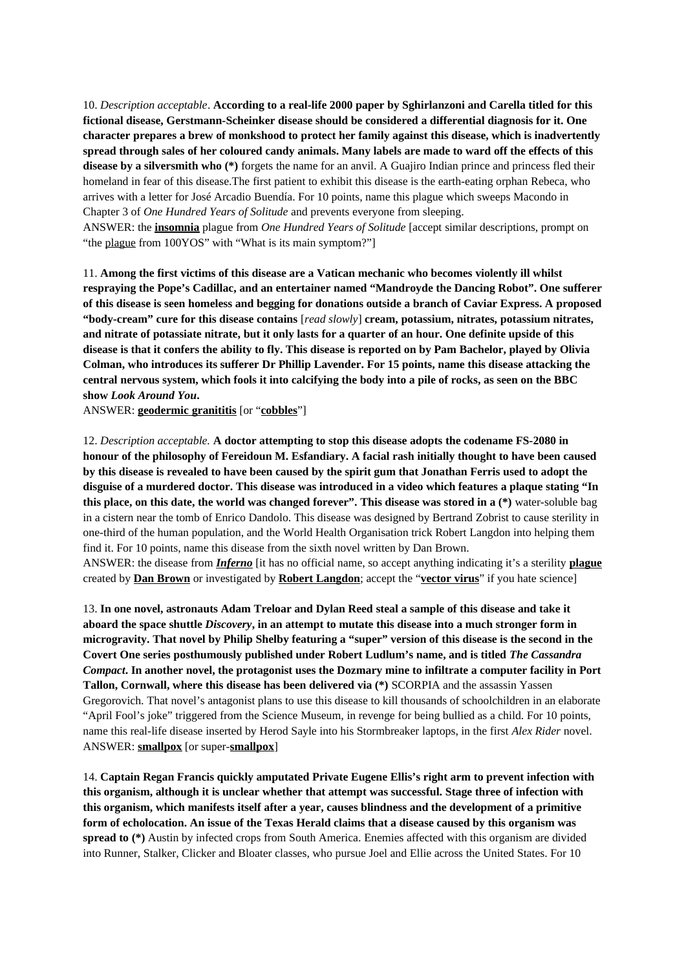10. *Description acceptable*. **According to a real-life 2000 paper by Sghirlanzoni and Carella titled for this fictional disease, Gerstmann-Scheinker disease should be considered a differential diagnosis for it. One character prepares a brew of monkshood to protect her family against this disease, which is inadvertently spread through sales of her coloured candy animals. Many labels are made to ward off the effects of this disease by a silversmith who (\*)** forgets the name for an anvil. A Guajiro Indian prince and princess fled their homeland in fear of this disease.The first patient to exhibit this disease is the earth-eating orphan Rebeca, who arrives with a letter for José Arcadio Buendía. For 10 points, name this plague which sweeps Macondo in Chapter 3 of *One Hundred Years of Solitude* and prevents everyone from sleeping.

ANSWER: the **insomnia** plague from *One Hundred Years of Solitude* [accept similar descriptions, prompt on "the plague from 100YOS" with "What is its main symptom?"]

11. **Among the first victims of this disease are a Vatican mechanic who becomes violently ill whilst respraying the Pope's Cadillac, and an entertainer named "Mandroyde the Dancing Robot". One sufferer of this disease is seen homeless and begging for donations outside a branch of Caviar Express. A proposed "body-cream" cure for this disease contains** [*read slowly*] **cream, potassium, nitrates, potassium nitrates, and nitrate of potassiate nitrate, but it only lasts for a quarter of an hour. One definite upside of this disease is that it confers the ability to fly. This disease is reported on by Pam Bachelor, played by Olivia Colman, who introduces its sufferer Dr Phillip Lavender. For 15 points, name this disease attacking the central nervous system, which fools it into calcifying the body into a pile of rocks, as seen on the BBC show** *Look Around You***.**

ANSWER: **geodermic granititis** [or "**cobbles**"]

12. *Description acceptable.* **A doctor attempting to stop this disease adopts the codename FS-2080 in honour of the philosophy of Fereidoun M. Esfandiary. A facial rash initially thought to have been caused by this disease is revealed to have been caused by the spirit gum that Jonathan Ferris used to adopt the disguise of a murdered doctor. This disease was introduced in a video which features a plaque stating "In this place, on this date, the world was changed forever". This disease was stored in a (\*)** water-soluble bag in a cistern near the tomb of Enrico Dandolo. This disease was designed by Bertrand Zobrist to cause sterility in one-third of the human population, and the World Health Organisation trick Robert Langdon into helping them find it. For 10 points, name this disease from the sixth novel written by Dan Brown. ANSWER: the disease from *Inferno* [it has no official name, so accept anything indicating it's a sterility **plague** created by **Dan Brown** or investigated by **Robert Langdon**; accept the "**vector virus**" if you hate science]

13. **In one novel, astronauts Adam Treloar and Dylan Reed steal a sample of this disease and take it aboard the space shuttle** *Discovery***, in an attempt to mutate this disease into a much stronger form in microgravity. That novel by Philip Shelby featuring a "super" version of this disease is the second in the Covert One series posthumously published under Robert Ludlum's name, and is titled** *The Cassandra Compact***. In another novel, the protagonist uses the Dozmary mine to infiltrate a computer facility in Port Tallon, Cornwall, where this disease has been delivered via (\*)** SCORPIA and the assassin Yassen Gregorovich. That novel's antagonist plans to use this disease to kill thousands of schoolchildren in an elaborate "April Fool's joke" triggered from the Science Museum, in revenge for being bullied as a child. For 10 points, name this real-life disease inserted by Herod Sayle into his Stormbreaker laptops, in the first *Alex Rider* novel. ANSWER: **smallpox** [or super-**smallpox**]

14. **Captain Regan Francis quickly amputated Private Eugene Ellis's right arm to prevent infection with this organism, although it is unclear whether that attempt was successful. Stage three of infection with this organism, which manifests itself after a year, causes blindness and the development of a primitive form of echolocation. An issue of the Texas Herald claims that a disease caused by this organism was spread to (\*)** Austin by infected crops from South America. Enemies affected with this organism are divided into Runner, Stalker, Clicker and Bloater classes, who pursue Joel and Ellie across the United States. For 10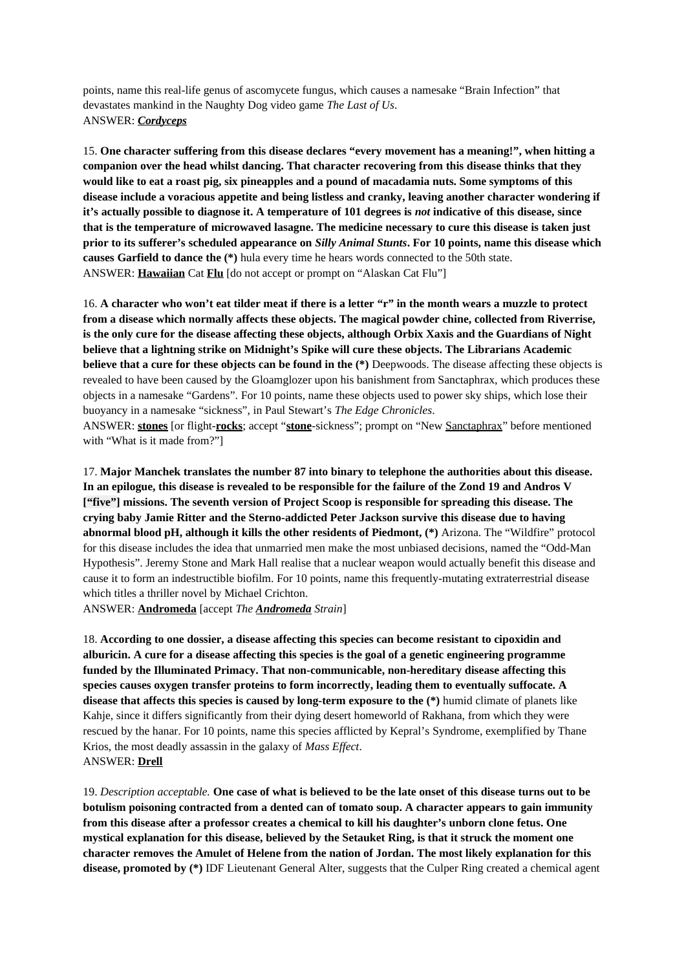points, name this real-life genus of ascomycete fungus, which causes a namesake "Brain Infection" that devastates mankind in the Naughty Dog video game *The Last of Us*. ANSWER: *Cordyceps*

15. **One character suffering from this disease declares "every movement has a meaning!", when hitting a companion over the head whilst dancing. That character recovering from this disease thinks that they would like to eat a roast pig, six pineapples and a pound of macadamia nuts. Some symptoms of this disease include a voracious appetite and being listless and cranky, leaving another character wondering if it's actually possible to diagnose it. A temperature of 101 degrees is** *not* **indicative of this disease, since that is the temperature of microwaved lasagne. The medicine necessary to cure this disease is taken just prior to its sufferer's scheduled appearance on** *Silly Animal Stunts***. For 10 points, name this disease which causes Garfield to dance the (\*)** hula every time he hears words connected to the 50th state. ANSWER: **Hawaiian** Cat **Flu** [do not accept or prompt on "Alaskan Cat Flu"]

16. **A character who won't eat tilder meat if there is a letter "r" in the month wears a muzzle to protect from a disease which normally affects these objects. The magical powder chine, collected from Riverrise, is the only cure for the disease affecting these objects, although Orbix Xaxis and the Guardians of Night believe that a lightning strike on Midnight's Spike will cure these objects. The Librarians Academic believe that a cure for these objects can be found in the (\*)** Deepwoods. The disease affecting these objects is revealed to have been caused by the Gloamglozer upon his banishment from Sanctaphrax, which produces these objects in a namesake "Gardens". For 10 points, name these objects used to power sky ships, which lose their buoyancy in a namesake "sickness", in Paul Stewart's *The Edge Chronicles*. ANSWER: **stones** [or flight-**rocks**; accept "**stone**-sickness"; prompt on "New Sanctaphrax" before mentioned

with "What is it made from?"]

17. **Major Manchek translates the number 87 into binary to telephone the authorities about this disease. In an epilogue, this disease is revealed to be responsible for the failure of the Zond 19 and Andros V ["five"] missions. The seventh version of Project Scoop is responsible for spreading this disease. The crying baby Jamie Ritter and the Sterno-addicted Peter Jackson survive this disease due to having abnormal blood pH, although it kills the other residents of Piedmont, (\*)** Arizona. The "Wildfire" protocol for this disease includes the idea that unmarried men make the most unbiased decisions, named the "Odd-Man Hypothesis". Jeremy Stone and Mark Hall realise that a nuclear weapon would actually benefit this disease and cause it to form an indestructible biofilm. For 10 points, name this frequently-mutating extraterrestrial disease which titles a thriller novel by Michael Crichton.

ANSWER: **Andromeda** [accept *The Andromeda Strain*]

18. **According to one dossier, a disease affecting this species can become resistant to cipoxidin and alburicin. A cure for a disease affecting this species is the goal of a genetic engineering programme funded by the Illuminated Primacy. That non-communicable, non-hereditary disease affecting this species causes oxygen transfer proteins to form incorrectly, leading them to eventually suffocate. A disease that affects this species is caused by long-term exposure to the (\*)** humid climate of planets like Kahje, since it differs significantly from their dying desert homeworld of Rakhana, from which they were rescued by the hanar. For 10 points, name this species afflicted by Kepral's Syndrome, exemplified by Thane Krios, the most deadly assassin in the galaxy of *Mass Effect*. ANSWER: **Drell**

19. *Description acceptable.* **One case of what is believed to be the late onset of this disease turns out to be botulism poisoning contracted from a dented can of tomato soup. A character appears to gain immunity from this disease after a professor creates a chemical to kill his daughter's unborn clone fetus. One mystical explanation for this disease, believed by the Setauket Ring, is that it struck the moment one character removes the Amulet of Helene from the nation of Jordan. The most likely explanation for this disease, promoted by (\*)** IDF Lieutenant General Alter, suggests that the Culper Ring created a chemical agent